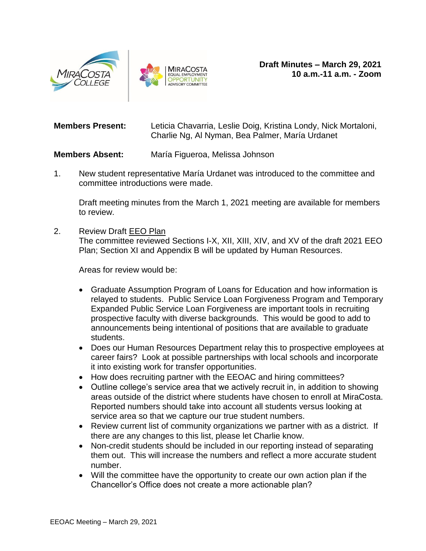



**Members Present:** Leticia Chavarria, Leslie Doig, Kristina Londy, Nick Mortaloni, Charlie Ng, Al Nyman, Bea Palmer, María Urdanet

## **Members Absent:** María Figueroa, Melissa Johnson

1. New student representative María Urdanet was introduced to the committee and committee introductions were made.

Draft meeting minutes from the March 1, 2021 meeting are available for members to review.

2. Review Draft [EEO Plan](https://www.miracosta.edu/hr/eeoac/_docs/eeo-plan.pdf)

The committee reviewed Sections I-X, XII, XIII, XIV, and XV of the draft 2021 EEO Plan; Section XI and Appendix B will be updated by Human Resources.

Areas for review would be:

- Graduate Assumption Program of Loans for Education and how information is relayed to students. Public Service Loan Forgiveness Program and Temporary Expanded Public Service Loan Forgiveness are important tools in recruiting prospective faculty with diverse backgrounds. This would be good to add to announcements being intentional of positions that are available to graduate students.
- Does our Human Resources Department relay this to prospective employees at career fairs? Look at possible partnerships with local schools and incorporate it into existing work for transfer opportunities.
- How does recruiting partner with the EEOAC and hiring committees?
- Outline college's service area that we actively recruit in, in addition to showing areas outside of the district where students have chosen to enroll at MiraCosta. Reported numbers should take into account all students versus looking at service area so that we capture our true student numbers.
- Review current list of community organizations we partner with as a district. If there are any changes to this list, please let Charlie know.
- Non-credit students should be included in our reporting instead of separating them out. This will increase the numbers and reflect a more accurate student number.
- Will the committee have the opportunity to create our own action plan if the Chancellor's Office does not create a more actionable plan?